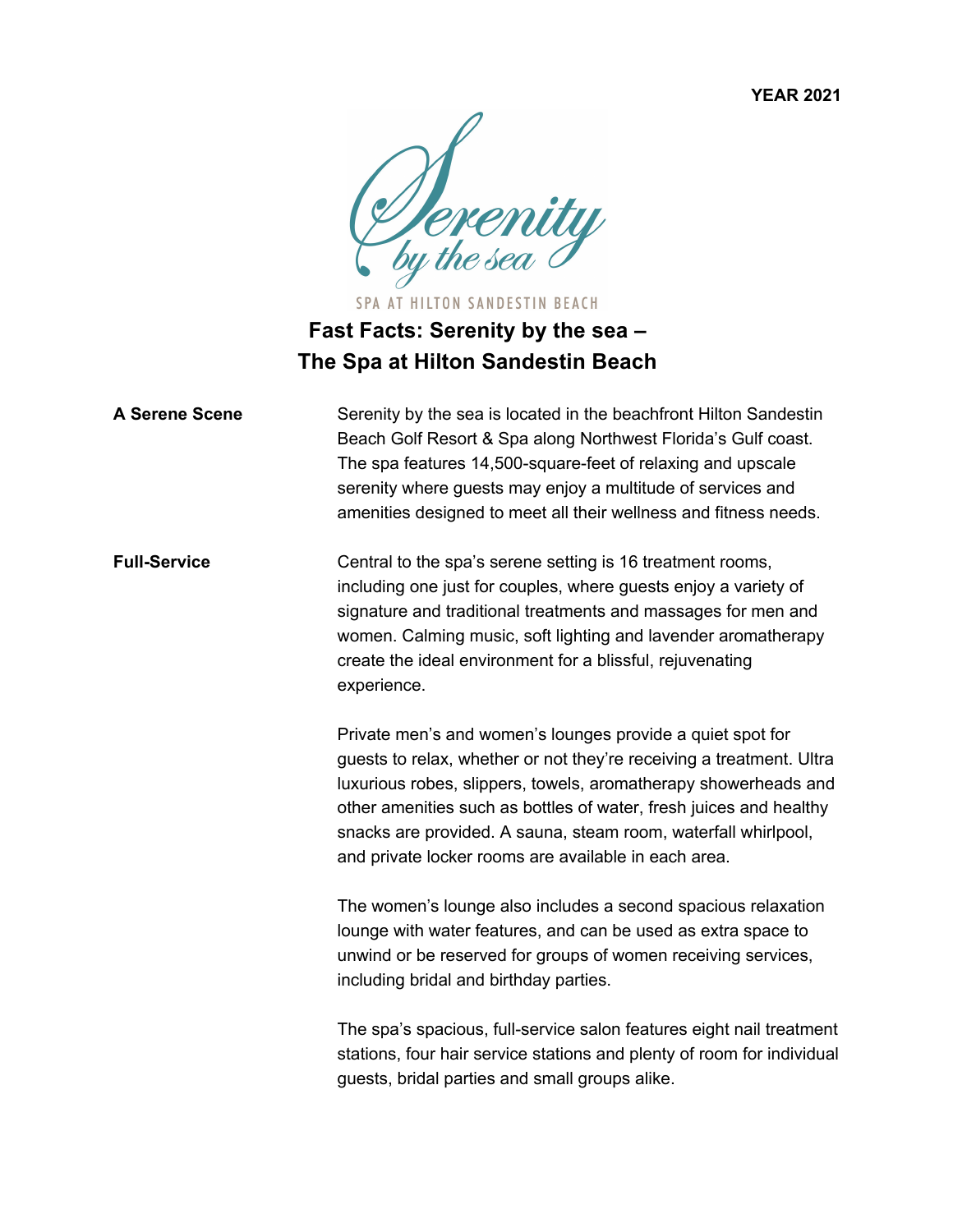**YEAR 2021**



SPA AT HILTON SANDESTIN BEACH **Fast Facts: Serenity by the sea – The Spa at Hilton Sandestin Beach** 

| <b>A Serene Scene</b> | Serenity by the sea is located in the beachfront Hilton Sandestin<br>Beach Golf Resort & Spa along Northwest Florida's Gulf coast.<br>The spa features 14,500-square-feet of relaxing and upscale<br>serenity where guests may enjoy a multitude of services and<br>amenities designed to meet all their wellness and fitness needs.                                                                  |
|-----------------------|-------------------------------------------------------------------------------------------------------------------------------------------------------------------------------------------------------------------------------------------------------------------------------------------------------------------------------------------------------------------------------------------------------|
| <b>Full-Service</b>   | Central to the spa's serene setting is 16 treatment rooms,<br>including one just for couples, where guests enjoy a variety of<br>signature and traditional treatments and massages for men and<br>women. Calming music, soft lighting and lavender aromatherapy<br>create the ideal environment for a blissful, rejuvenating<br>experience.                                                           |
|                       | Private men's and women's lounges provide a quiet spot for<br>guests to relax, whether or not they're receiving a treatment. Ultra<br>luxurious robes, slippers, towels, aromatherapy showerheads and<br>other amenities such as bottles of water, fresh juices and healthy<br>snacks are provided. A sauna, steam room, waterfall whirlpool,<br>and private locker rooms are available in each area. |
|                       | The women's lounge also includes a second spacious relaxation<br>lounge with water features, and can be used as extra space to<br>unwind or be reserved for groups of women receiving services,<br>including bridal and birthday parties.                                                                                                                                                             |
|                       | The spa's spacious, full-service salon features eight nail treatment<br>stations, four hair service stations and plenty of room for individual<br>guests, bridal parties and small groups alike.                                                                                                                                                                                                      |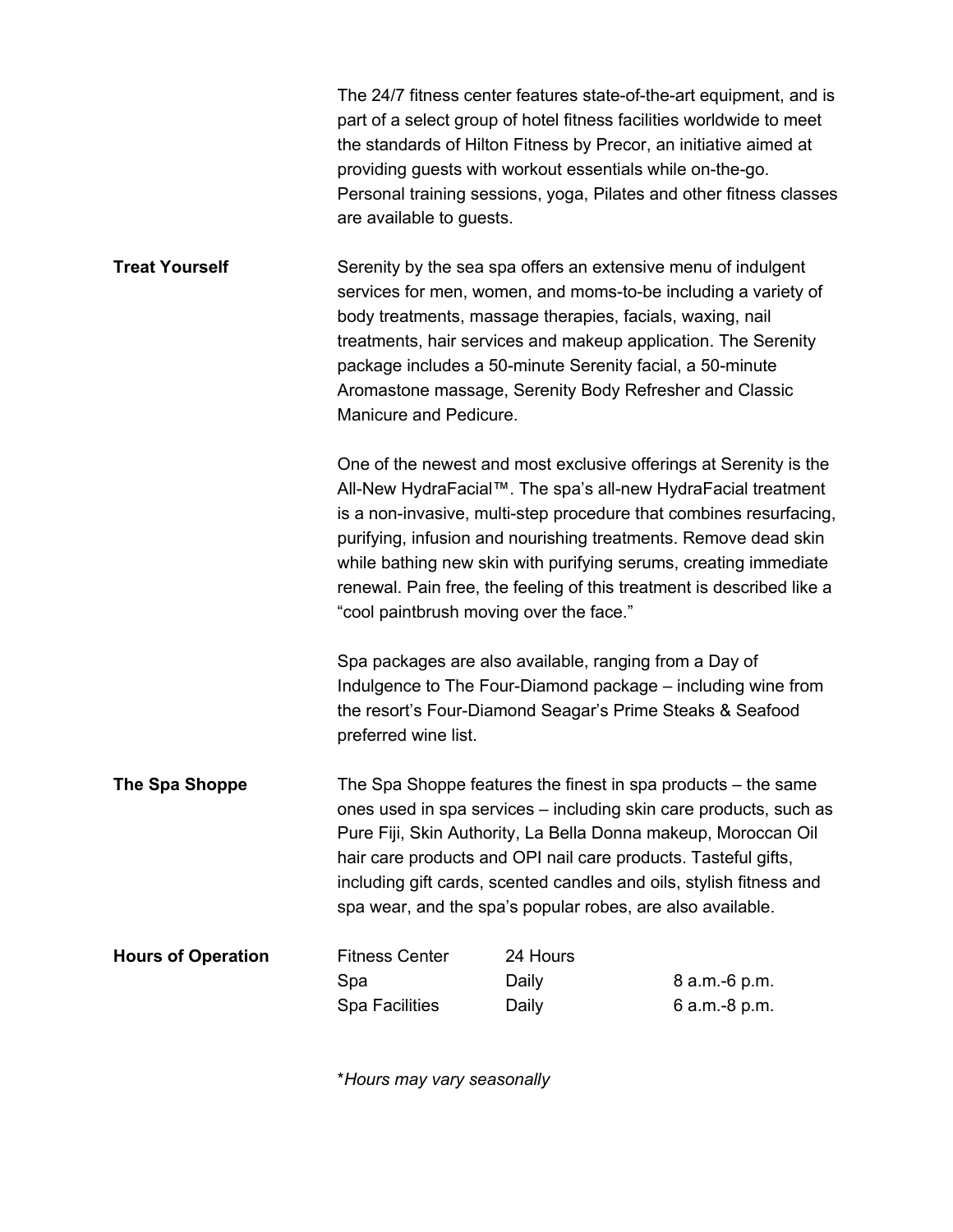|                           | are available to guests.                                                                                                                                                                                                                                                                                                                                                                                         | part of a select group of hotel fitness facilities worldwide to meet<br>the standards of Hilton Fitness by Precor, an initiative aimed at<br>providing guests with workout essentials while on-the-go.                                                                                                                                                                                                                                                              | The 24/7 fitness center features state-of-the-art equipment, and is<br>Personal training sessions, yoga, Pilates and other fitness classes |  |
|---------------------------|------------------------------------------------------------------------------------------------------------------------------------------------------------------------------------------------------------------------------------------------------------------------------------------------------------------------------------------------------------------------------------------------------------------|---------------------------------------------------------------------------------------------------------------------------------------------------------------------------------------------------------------------------------------------------------------------------------------------------------------------------------------------------------------------------------------------------------------------------------------------------------------------|--------------------------------------------------------------------------------------------------------------------------------------------|--|
| <b>Treat Yourself</b>     | Serenity by the sea spa offers an extensive menu of indulgent<br>services for men, women, and moms-to-be including a variety of<br>body treatments, massage therapies, facials, waxing, nail<br>treatments, hair services and makeup application. The Serenity<br>package includes a 50-minute Serenity facial, a 50-minute<br>Aromastone massage, Serenity Body Refresher and Classic<br>Manicure and Pedicure. |                                                                                                                                                                                                                                                                                                                                                                                                                                                                     |                                                                                                                                            |  |
|                           |                                                                                                                                                                                                                                                                                                                                                                                                                  | One of the newest and most exclusive offerings at Serenity is the<br>All-New HydraFacial™. The spa's all-new HydraFacial treatment<br>is a non-invasive, multi-step procedure that combines resurfacing,<br>purifying, infusion and nourishing treatments. Remove dead skin<br>while bathing new skin with purifying serums, creating immediate<br>renewal. Pain free, the feeling of this treatment is described like a<br>"cool paintbrush moving over the face." |                                                                                                                                            |  |
|                           | Spa packages are also available, ranging from a Day of<br>Indulgence to The Four-Diamond package – including wine from<br>the resort's Four-Diamond Seagar's Prime Steaks & Seafood<br>preferred wine list.                                                                                                                                                                                                      |                                                                                                                                                                                                                                                                                                                                                                                                                                                                     |                                                                                                                                            |  |
| The Spa Shoppe            | The Spa Shoppe features the finest in spa products – the same<br>ones used in spa services – including skin care products, such as<br>Pure Fiji, Skin Authority, La Bella Donna makeup, Moroccan Oil<br>hair care products and OPI nail care products. Tasteful gifts,<br>including gift cards, scented candles and oils, stylish fitness and<br>spa wear, and the spa's popular robes, are also available.      |                                                                                                                                                                                                                                                                                                                                                                                                                                                                     |                                                                                                                                            |  |
| <b>Hours of Operation</b> | <b>Fitness Center</b><br>Spa<br><b>Spa Facilities</b>                                                                                                                                                                                                                                                                                                                                                            | 24 Hours<br>Daily<br>Daily                                                                                                                                                                                                                                                                                                                                                                                                                                          | 8 a.m.-6 p.m.<br>6 a.m.-8 p.m.                                                                                                             |  |

\**Hours may vary seasonally*